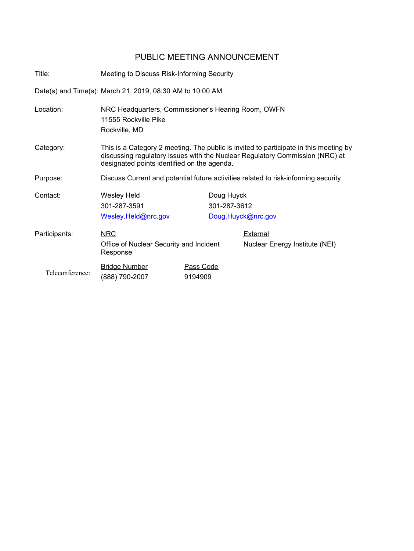## PUBLIC MEETING ANNOUNCEMENT

Title: Meeting to Discuss Risk-Informing Security

Date(s) and Time(s): March 21, 2019, 08:30 AM to 10:00 AM

| Location:       | NRC Headquarters, Commissioner's Hearing Room, OWFN<br>11555 Rockville Pike<br>Rockville, MD                                                                                                                         |                            |                                            |
|-----------------|----------------------------------------------------------------------------------------------------------------------------------------------------------------------------------------------------------------------|----------------------------|--------------------------------------------|
| Category:       | This is a Category 2 meeting. The public is invited to participate in this meeting by<br>discussing regulatory issues with the Nuclear Regulatory Commission (NRC) at<br>designated points identified on the agenda. |                            |                                            |
| Purpose:        | Discuss Current and potential future activities related to risk-informing security                                                                                                                                   |                            |                                            |
| Contact:        | Wesley Held<br>301-287-3591<br>Wesley.Held@nrc.gov                                                                                                                                                                   | Doug Huyck<br>301-287-3612 | Doug.Huyck@nrc.gov                         |
| Participants:   | <b>NRC</b><br>Office of Nuclear Security and Incident<br>Response                                                                                                                                                    |                            | External<br>Nuclear Energy Institute (NEI) |
| Teleconference: | <b>Bridge Number</b><br>(888) 790-2007                                                                                                                                                                               | Pass Code<br>9194909       |                                            |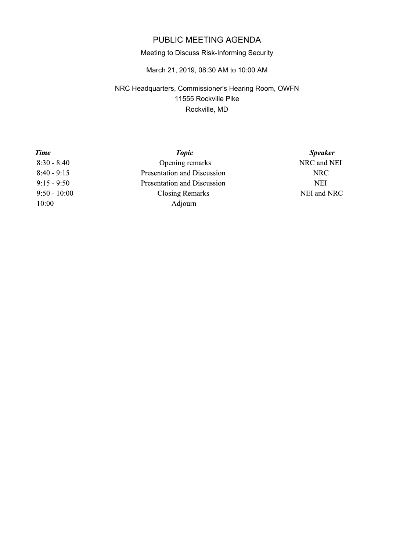# PUBLIC MEETING AGENDA

### Meeting to Discuss Risk-Informing Security

March 21, 2019, 08:30 AM to 10:00 AM

### NRC Headquarters, Commissioner's Hearing Room, OWFN 11555 Rockville Pike Rockville, MD

| Time           | <b>Topic</b>                | <b>Speaker</b> |
|----------------|-----------------------------|----------------|
| $8:30 - 8:40$  | Opening remarks             | NRC and NEI    |
| $8:40 - 9:15$  | Presentation and Discussion | <b>NRC</b>     |
| $9:15 - 9:50$  | Presentation and Discussion | NEI            |
| $9:50 - 10:00$ | Closing Remarks             | NEI and NRC    |
| 10:00          | Adjourn                     |                |